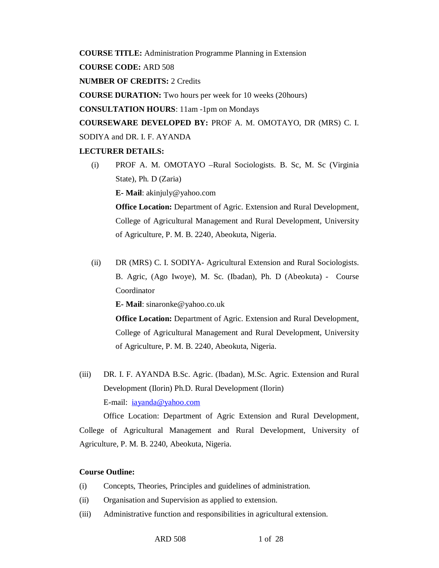**COURSE TITLE:** Administration Programme Planning in Extension

**COURSE CODE:** ARD 508

**NUMBER OF CREDITS:** 2 Credits

**COURSE DURATION:** Two hours per week for 10 weeks (20hours)

**CONSULTATION HOURS**: 11am -1pm on Mondays

**COURSEWARE DEVELOPED BY:** PROF A. M. OMOTAYO, DR (MRS) C. I.

SODIYA and DR. I. F. AYANDA

# **LECTURER DETAILS:**

(i) PROF A. M. OMOTAYO –Rural Sociologists. B. Sc, M. Sc (Virginia State), Ph. D (Zaria)

**E- Mail**: akinjuly@yahoo.com

**Office Location:** Department of Agric. Extension and Rural Development, College of Agricultural Management and Rural Development, University of Agriculture, P. M. B. 2240, Abeokuta, Nigeria.

(ii) DR (MRS) C. I. SODIYA- Agricultural Extension and Rural Sociologists. B. Agric, (Ago Iwoye), M. Sc. (Ibadan), Ph. D (Abeokuta) - Course Coordinator

**E- Mail**: sinaronke@yahoo.co.uk

**Office Location:** Department of Agric. Extension and Rural Development, College of Agricultural Management and Rural Development, University of Agriculture, P. M. B. 2240, Abeokuta, Nigeria.

(iii) DR. I. F. AYANDA B.Sc. Agric. (Ibadan), M.Sc. Agric. Extension and Rural Development (Ilorin) Ph.D. Rural Development (Ilorin) E-mail: iayanda@yahoo.com

Office Location: Department of Agric Extension and Rural Development, College of Agricultural Management and Rural Development, University of Agriculture, P. M. B. 2240, Abeokuta, Nigeria.

# **Course Outline:**

- (i) Concepts, Theories, Principles and guidelines of administration.
- (ii) Organisation and Supervision as applied to extension.
- (iii) Administrative function and responsibilities in agricultural extension.

ARD 508 1 of 28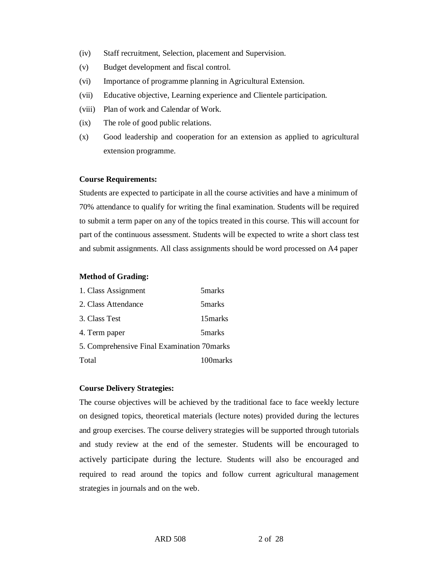- (iv) Staff recruitment, Selection, placement and Supervision.
- (v) Budget development and fiscal control.
- (vi) Importance of programme planning in Agricultural Extension.
- (vii) Educative objective, Learning experience and Clientele participation.
- (viii) Plan of work and Calendar of Work.
- (ix) The role of good public relations.
- (x) Good leadership and cooperation for an extension as applied to agricultural extension programme.

### **Course Requirements:**

Students are expected to participate in all the course activities and have a minimum of 70% attendance to qualify for writing the final examination. Students will be required to submit a term paper on any of the topics treated in this course. This will account for part of the continuous assessment. Students will be expected to write a short class test and submit assignments. All class assignments should be word processed on A4 paper

### **Method of Grading:**

| 1. Class Assignment                        | 5 <sub>marks</sub> |
|--------------------------------------------|--------------------|
| 2. Class Attendance                        | 5 marks            |
| 3. Class Test                              | 15 marks           |
| 4. Term paper                              | 5 <sub>marks</sub> |
| 5. Comprehensive Final Examination 70marks |                    |
| Total                                      | 100 marks          |

### **Course Delivery Strategies:**

The course objectives will be achieved by the traditional face to face weekly lecture on designed topics, theoretical materials (lecture notes) provided during the lectures and group exercises. The course delivery strategies will be supported through tutorials and study review at the end of the semester. Students will be encouraged to actively participate during the lecture. Students will also be encouraged and required to read around the topics and follow current agricultural management strategies in journals and on the web.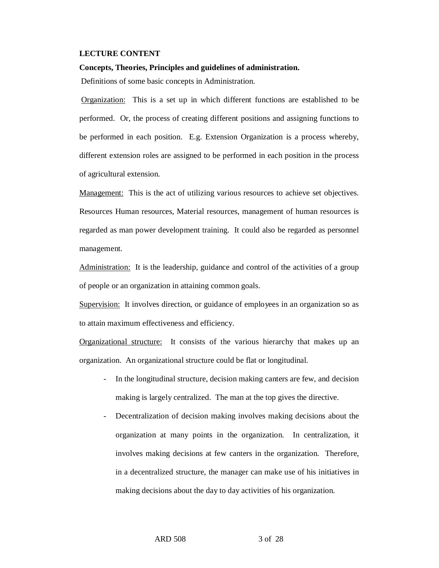#### **LECTURE CONTENT**

## **Concepts, Theories, Principles and guidelines of administration.**

Definitions of some basic concepts in Administration.

Organization: This is a set up in which different functions are established to be performed. Or, the process of creating different positions and assigning functions to be performed in each position. E.g. Extension Organization is a process whereby, different extension roles are assigned to be performed in each position in the process of agricultural extension.

Management: This is the act of utilizing various resources to achieve set objectives. Resources Human resources, Material resources, management of human resources is regarded as man power development training. It could also be regarded as personnel management.

Administration: It is the leadership, guidance and control of the activities of a group of people or an organization in attaining common goals.

Supervision: It involves direction, or guidance of employees in an organization so as to attain maximum effectiveness and efficiency.

Organizational structure: It consists of the various hierarchy that makes up an organization. An organizational structure could be flat or longitudinal.

- In the longitudinal structure, decision making canters are few, and decision making is largely centralized. The man at the top gives the directive.
- Decentralization of decision making involves making decisions about the organization at many points in the organization. In centralization, it involves making decisions at few canters in the organization. Therefore, in a decentralized structure, the manager can make use of his initiatives in making decisions about the day to day activities of his organization.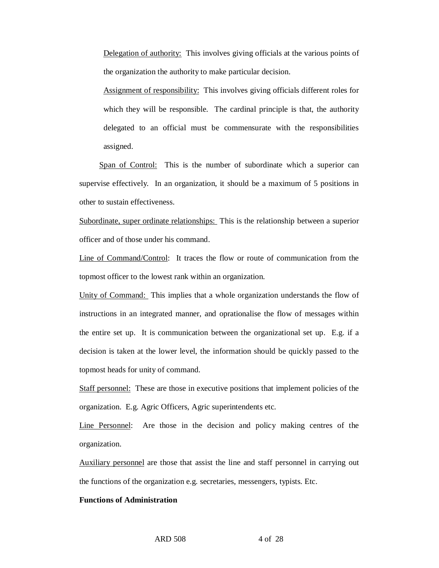Delegation of authority: This involves giving officials at the various points of the organization the authority to make particular decision.

Assignment of responsibility: This involves giving officials different roles for which they will be responsible. The cardinal principle is that, the authority delegated to an official must be commensurate with the responsibilities assigned.

Span of Control: This is the number of subordinate which a superior can supervise effectively. In an organization, it should be a maximum of 5 positions in other to sustain effectiveness.

Subordinate, super ordinate relationships: This is the relationship between a superior officer and of those under his command.

Line of Command/Control: It traces the flow or route of communication from the topmost officer to the lowest rank within an organization.

Unity of Command: This implies that a whole organization understands the flow of instructions in an integrated manner, and oprationalise the flow of messages within the entire set up. It is communication between the organizational set up. E.g. if a decision is taken at the lower level, the information should be quickly passed to the topmost heads for unity of command.

Staff personnel: These are those in executive positions that implement policies of the organization. E.g. Agric Officers, Agric superintendents etc.

Line Personnel: Are those in the decision and policy making centres of the organization.

Auxiliary personnel are those that assist the line and staff personnel in carrying out the functions of the organization e.g. secretaries, messengers, typists. Etc.

### **Functions of Administration**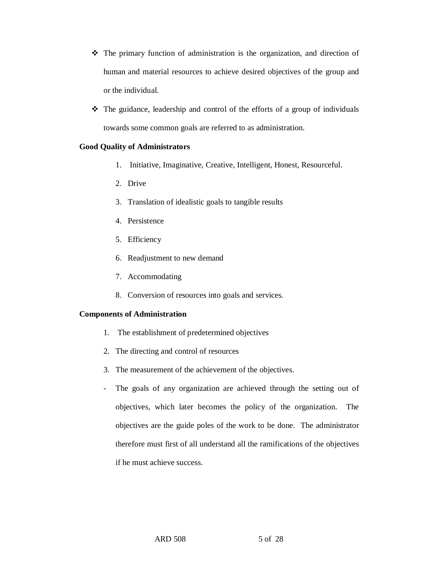- $\hat{\mathbf{v}}$  The primary function of administration is the organization, and direction of human and material resources to achieve desired objectives of the group and or the individual.
- The guidance, leadership and control of the efforts of a group of individuals towards some common goals are referred to as administration.

# **Good Quality of Administrators**

- 1. Initiative, Imaginative, Creative, Intelligent, Honest, Resourceful.
- 2. Drive
- 3. Translation of idealistic goals to tangible results
- 4. Persistence
- 5. Efficiency
- 6. Readjustment to new demand
- 7. Accommodating
- 8. Conversion of resources into goals and services.

### **Components of Administration**

- 1. The establishment of predetermined objectives
- 2. The directing and control of resources
- 3. The measurement of the achievement of the objectives.
- The goals of any organization are achieved through the setting out of objectives, which later becomes the policy of the organization. The objectives are the guide poles of the work to be done. The administrator therefore must first of all understand all the ramifications of the objectives if he must achieve success.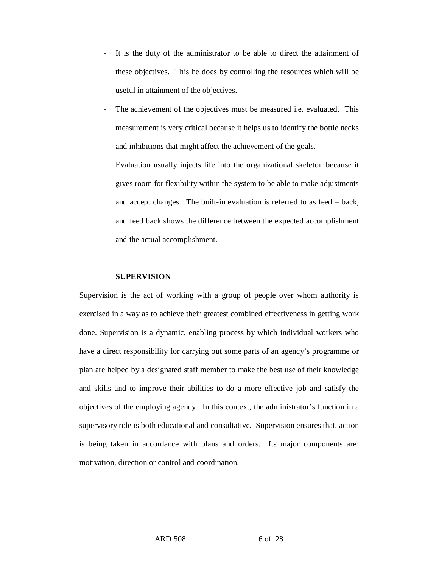- It is the duty of the administrator to be able to direct the attainment of these objectives. This he does by controlling the resources which will be useful in attainment of the objectives.
- The achievement of the objectives must be measured i.e. evaluated. This measurement is very critical because it helps us to identify the bottle necks and inhibitions that might affect the achievement of the goals.

Evaluation usually injects life into the organizational skeleton because it gives room for flexibility within the system to be able to make adjustments and accept changes. The built-in evaluation is referred to as feed – back, and feed back shows the difference between the expected accomplishment and the actual accomplishment.

## **SUPERVISION**

Supervision is the act of working with a group of people over whom authority is exercised in a way as to achieve their greatest combined effectiveness in getting work done. Supervision is a dynamic, enabling process by which individual workers who have a direct responsibility for carrying out some parts of an agency's programme or plan are helped by a designated staff member to make the best use of their knowledge and skills and to improve their abilities to do a more effective job and satisfy the objectives of the employing agency. In this context, the administrator's function in a supervisory role is both educational and consultative. Supervision ensures that, action is being taken in accordance with plans and orders. Its major components are: motivation, direction or control and coordination.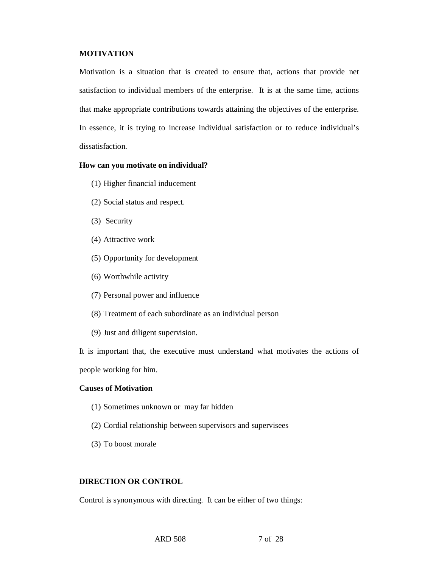# **MOTIVATION**

Motivation is a situation that is created to ensure that, actions that provide net satisfaction to individual members of the enterprise. It is at the same time, actions that make appropriate contributions towards attaining the objectives of the enterprise. In essence, it is trying to increase individual satisfaction or to reduce individual's dissatisfaction.

# **How can you motivate on individual?**

- (1) Higher financial inducement
- (2) Social status and respect.
- (3) Security
- (4) Attractive work
- (5) Opportunity for development
- (6) Worthwhile activity
- (7) Personal power and influence
- (8) Treatment of each subordinate as an individual person
- (9) Just and diligent supervision.

It is important that, the executive must understand what motivates the actions of people working for him.

#### **Causes of Motivation**

- (1) Sometimes unknown or may far hidden
- (2) Cordial relationship between supervisors and supervisees
- (3) To boost morale

# **DIRECTION OR CONTROL**

Control is synonymous with directing. It can be either of two things: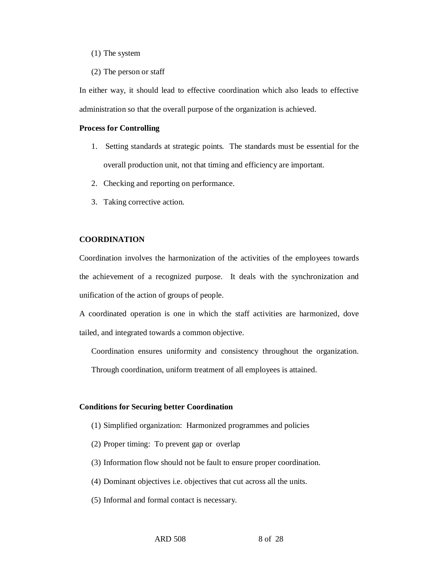### (1) The system

(2) The person or staff

In either way, it should lead to effective coordination which also leads to effective administration so that the overall purpose of the organization is achieved.

#### **Process for Controlling**

- 1. Setting standards at strategic points. The standards must be essential for the overall production unit, not that timing and efficiency are important.
- 2. Checking and reporting on performance.
- 3. Taking corrective action.

# **COORDINATION**

Coordination involves the harmonization of the activities of the employees towards the achievement of a recognized purpose. It deals with the synchronization and unification of the action of groups of people.

A coordinated operation is one in which the staff activities are harmonized, dove tailed, and integrated towards a common objective.

Coordination ensures uniformity and consistency throughout the organization.

Through coordination, uniform treatment of all employees is attained.

#### **Conditions for Securing better Coordination**

- (1) Simplified organization: Harmonized programmes and policies
- (2) Proper timing: To prevent gap or overlap
- (3) Information flow should not be fault to ensure proper coordination.
- (4) Dominant objectives i.e. objectives that cut across all the units.
- (5) Informal and formal contact is necessary.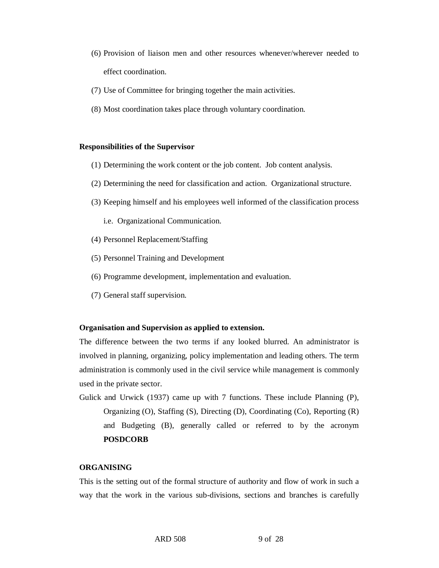- (6) Provision of liaison men and other resources whenever/wherever needed to effect coordination.
- (7) Use of Committee for bringing together the main activities.
- (8) Most coordination takes place through voluntary coordination.

#### **Responsibilities of the Supervisor**

- (1) Determining the work content or the job content. Job content analysis.
- (2) Determining the need for classification and action. Organizational structure.
- (3) Keeping himself and his employees well informed of the classification process

i.e. Organizational Communication.

- (4) Personnel Replacement/Staffing
- (5) Personnel Training and Development
- (6) Programme development, implementation and evaluation.
- (7) General staff supervision.

#### **Organisation and Supervision as applied to extension.**

The difference between the two terms if any looked blurred. An administrator is involved in planning, organizing, policy implementation and leading others. The term administration is commonly used in the civil service while management is commonly used in the private sector.

Gulick and Urwick (1937) came up with 7 functions. These include Planning (P), Organizing (O), Staffing (S), Directing (D), Coordinating (Co), Reporting (R) and Budgeting (B), generally called or referred to by the acronym **POSDCORB** 

### **ORGANISING**

This is the setting out of the formal structure of authority and flow of work in such a way that the work in the various sub-divisions, sections and branches is carefully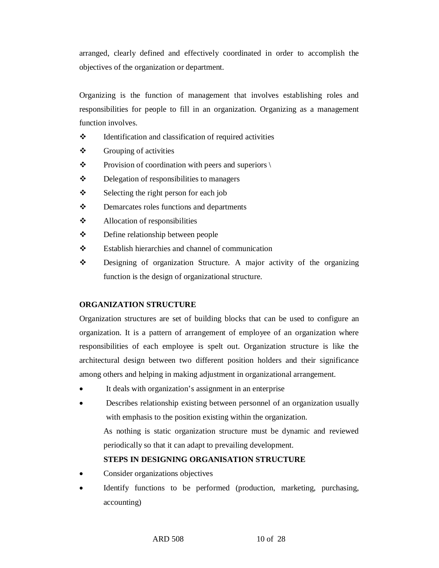arranged, clearly defined and effectively coordinated in order to accomplish the objectives of the organization or department.

Organizing is the function of management that involves establishing roles and responsibilities for people to fill in an organization. Organizing as a management function involves.

- $\triangleleft$  Identification and classification of required activities
- $\div$  Grouping of activities
- $\mathbf{\hat{P}}$  Provision of coordination with peers and superiors \
- $\mathbf{\hat{P}}$  Delegation of responsibilities to managers
- $\mathbf{\hat{P}}$  Selecting the right person for each job
- $\mathbf{\hat{P}}$  Demarcates roles functions and departments
- Allocation of responsibilities
- Define relationship between people
- Establish hierarchies and channel of communication
- Designing of organization Structure. A major activity of the organizing function is the design of organizational structure.

# **ORGANIZATION STRUCTURE**

Organization structures are set of building blocks that can be used to configure an organization. It is a pattern of arrangement of employee of an organization where responsibilities of each employee is spelt out. Organization structure is like the architectural design between two different position holders and their significance among others and helping in making adjustment in organizational arrangement.

- It deals with organization's assignment in an enterprise
- Describes relationship existing between personnel of an organization usually with emphasis to the position existing within the organization.

As nothing is static organization structure must be dynamic and reviewed periodically so that it can adapt to prevailing development.

# **STEPS IN DESIGNING ORGANISATION STRUCTURE**

- Consider organizations objectives
- Identify functions to be performed (production, marketing, purchasing, accounting)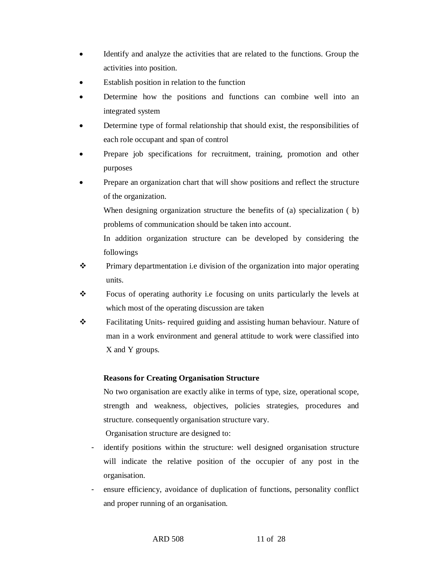- Identify and analyze the activities that are related to the functions. Group the activities into position.
- Establish position in relation to the function
- Determine how the positions and functions can combine well into an integrated system
- Determine type of formal relationship that should exist, the responsibilities of each role occupant and span of control
- Prepare job specifications for recruitment, training, promotion and other purposes
- Prepare an organization chart that will show positions and reflect the structure of the organization.

When designing organization structure the benefits of (a) specialization (b) problems of communication should be taken into account.

In addition organization structure can be developed by considering the followings

- Primary departmentation i.e division of the organization into major operating units.
- Focus of operating authority i.e focusing on units particularly the levels at which most of the operating discussion are taken
- Facilitating Units- required guiding and assisting human behaviour. Nature of man in a work environment and general attitude to work were classified into X and Y groups.

# **Reasons for Creating Organisation Structure**

No two organisation are exactly alike in terms of type, size, operational scope, strength and weakness, objectives, policies strategies, procedures and structure. consequently organisation structure vary.

Organisation structure are designed to:

- identify positions within the structure: well designed organisation structure will indicate the relative position of the occupier of any post in the organisation.
- ensure efficiency, avoidance of duplication of functions, personality conflict and proper running of an organisation.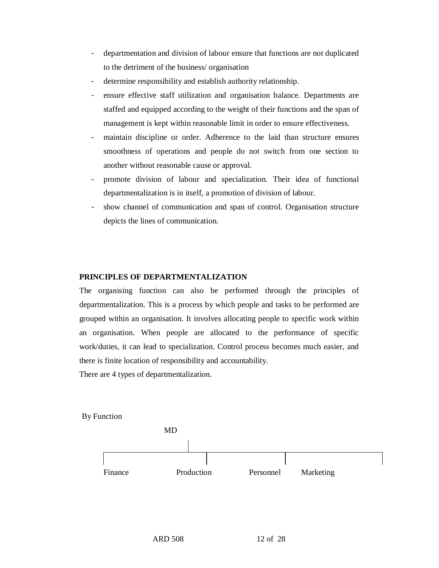- departmentation and division of labour ensure that functions are not duplicated to the detriment of the business/ organisation
- determine responsibility and establish authority relationship.
- ensure effective staff utilization and organisation balance. Departments are staffed and equipped according to the weight of their functions and the span of management is kept within reasonable limit in order to ensure effectiveness.
- maintain discipline or order. Adherence to the laid than structure ensures smoothness of operations and people do not switch from one section to another without reasonable cause or approval.
- promote division of labour and specialization. Their idea of functional departmentalization is in itself, a promotion of division of labour.
- show channel of communication and span of control. Organisation structure depicts the lines of communication.

# **PRINCIPLES OF DEPARTMENTALIZATION**

The organising function can also be performed through the principles of departmentalization. This is a process by which people and tasks to be performed are grouped within an organisation. It involves allocating people to specific work within an organisation. When people are allocated to the performance of specific work/duties, it can lead to specialization. Control process becomes much easier, and there is finite location of responsibility and accountability.

There are 4 types of departmentalization.

By Function

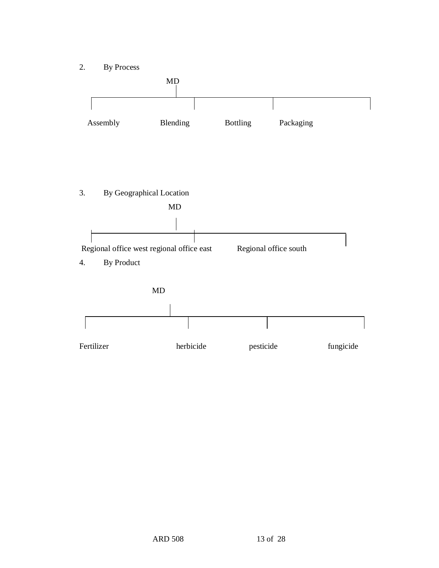2. By Process

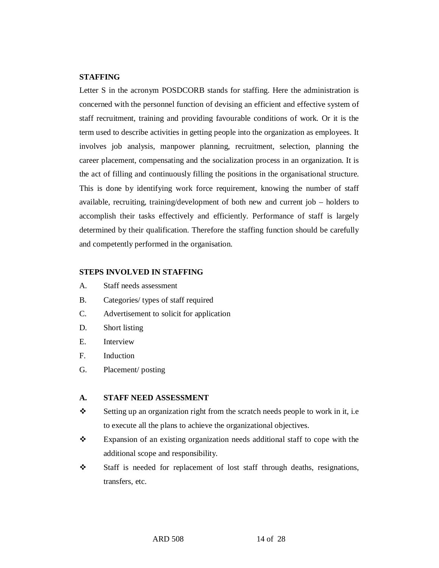# **STAFFING**

Letter S in the acronym POSDCORB stands for staffing. Here the administration is concerned with the personnel function of devising an efficient and effective system of staff recruitment, training and providing favourable conditions of work. Or it is the term used to describe activities in getting people into the organization as employees. It involves job analysis, manpower planning, recruitment, selection, planning the career placement, compensating and the socialization process in an organization. It is the act of filling and continuously filling the positions in the organisational structure. This is done by identifying work force requirement, knowing the number of staff available, recruiting, training/development of both new and current job – holders to accomplish their tasks effectively and efficiently. Performance of staff is largely determined by their qualification. Therefore the staffing function should be carefully and competently performed in the organisation.

# **STEPS INVOLVED IN STAFFING**

- A. Staff needs assessment
- B. Categories/ types of staff required
- C. Advertisement to solicit for application
- D. Short listing
- E. Interview
- F. Induction
- G. Placement/ posting

#### **A. STAFF NEED ASSESSMENT**

- Setting up an organization right from the scratch needs people to work in it, i.e to execute all the plans to achieve the organizational objectives.
- Expansion of an existing organization needs additional staff to cope with the additional scope and responsibility.
- Staff is needed for replacement of lost staff through deaths, resignations, transfers, etc.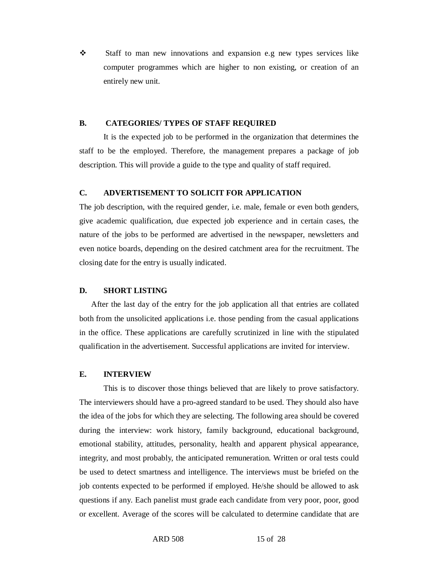$\div$  Staff to man new innovations and expansion e.g new types services like computer programmes which are higher to non existing, or creation of an entirely new unit.

#### **B. CATEGORIES/ TYPES OF STAFF REQUIRED**

It is the expected job to be performed in the organization that determines the staff to be the employed. Therefore, the management prepares a package of job description. This will provide a guide to the type and quality of staff required.

## **C. ADVERTISEMENT TO SOLICIT FOR APPLICATION**

The job description, with the required gender, i.e. male, female or even both genders, give academic qualification, due expected job experience and in certain cases, the nature of the jobs to be performed are advertised in the newspaper, newsletters and even notice boards, depending on the desired catchment area for the recruitment. The closing date for the entry is usually indicated.

#### **D. SHORT LISTING**

 After the last day of the entry for the job application all that entries are collated both from the unsolicited applications i.e. those pending from the casual applications in the office. These applications are carefully scrutinized in line with the stipulated qualification in the advertisement. Successful applications are invited for interview.

#### **E. INTERVIEW**

This is to discover those things believed that are likely to prove satisfactory. The interviewers should have a pro-agreed standard to be used. They should also have the idea of the jobs for which they are selecting. The following area should be covered during the interview: work history, family background, educational background, emotional stability, attitudes, personality, health and apparent physical appearance, integrity, and most probably, the anticipated remuneration. Written or oral tests could be used to detect smartness and intelligence. The interviews must be briefed on the job contents expected to be performed if employed. He/she should be allowed to ask questions if any. Each panelist must grade each candidate from very poor, poor, good or excellent. Average of the scores will be calculated to determine candidate that are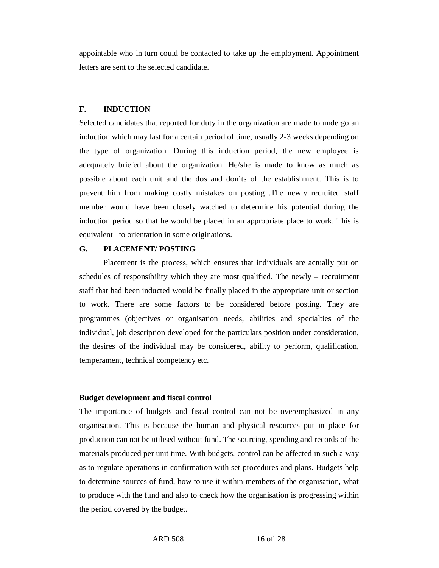appointable who in turn could be contacted to take up the employment. Appointment letters are sent to the selected candidate.

### **F. INDUCTION**

Selected candidates that reported for duty in the organization are made to undergo an induction which may last for a certain period of time, usually 2-3 weeks depending on the type of organization. During this induction period, the new employee is adequately briefed about the organization. He/she is made to know as much as possible about each unit and the dos and don'ts of the establishment. This is to prevent him from making costly mistakes on posting .The newly recruited staff member would have been closely watched to determine his potential during the induction period so that he would be placed in an appropriate place to work. This is equivalent to orientation in some originations.

## **G. PLACEMENT/ POSTING**

Placement is the process, which ensures that individuals are actually put on schedules of responsibility which they are most qualified. The newly – recruitment staff that had been inducted would be finally placed in the appropriate unit or section to work. There are some factors to be considered before posting. They are programmes (objectives or organisation needs, abilities and specialties of the individual, job description developed for the particulars position under consideration, the desires of the individual may be considered, ability to perform, qualification, temperament, technical competency etc.

#### **Budget development and fiscal control**

The importance of budgets and fiscal control can not be overemphasized in any organisation. This is because the human and physical resources put in place for production can not be utilised without fund. The sourcing, spending and records of the materials produced per unit time. With budgets, control can be affected in such a way as to regulate operations in confirmation with set procedures and plans. Budgets help to determine sources of fund, how to use it within members of the organisation, what to produce with the fund and also to check how the organisation is progressing within the period covered by the budget.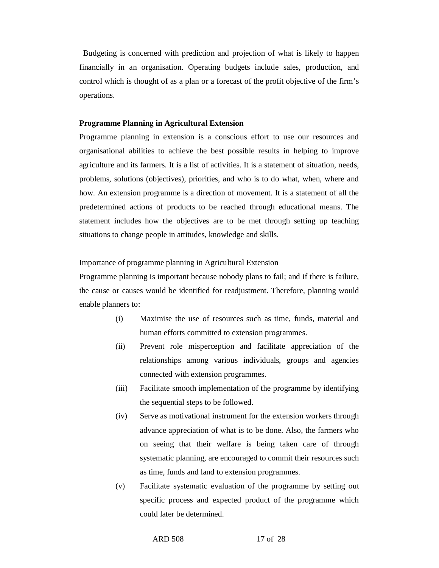Budgeting is concerned with prediction and projection of what is likely to happen financially in an organisation. Operating budgets include sales, production, and control which is thought of as a plan or a forecast of the profit objective of the firm's operations.

### **Programme Planning in Agricultural Extension**

Programme planning in extension is a conscious effort to use our resources and organisational abilities to achieve the best possible results in helping to improve agriculture and its farmers. It is a list of activities. It is a statement of situation, needs, problems, solutions (objectives), priorities, and who is to do what, when, where and how. An extension programme is a direction of movement. It is a statement of all the predetermined actions of products to be reached through educational means. The statement includes how the objectives are to be met through setting up teaching situations to change people in attitudes, knowledge and skills.

### Importance of programme planning in Agricultural Extension

Programme planning is important because nobody plans to fail; and if there is failure, the cause or causes would be identified for readjustment. Therefore, planning would enable planners to:

- (i) Maximise the use of resources such as time, funds, material and human efforts committed to extension programmes.
- (ii) Prevent role misperception and facilitate appreciation of the relationships among various individuals, groups and agencies connected with extension programmes.
- (iii) Facilitate smooth implementation of the programme by identifying the sequential steps to be followed.
- (iv) Serve as motivational instrument for the extension workers through advance appreciation of what is to be done. Also, the farmers who on seeing that their welfare is being taken care of through systematic planning, are encouraged to commit their resources such as time, funds and land to extension programmes.
- (v) Facilitate systematic evaluation of the programme by setting out specific process and expected product of the programme which could later be determined.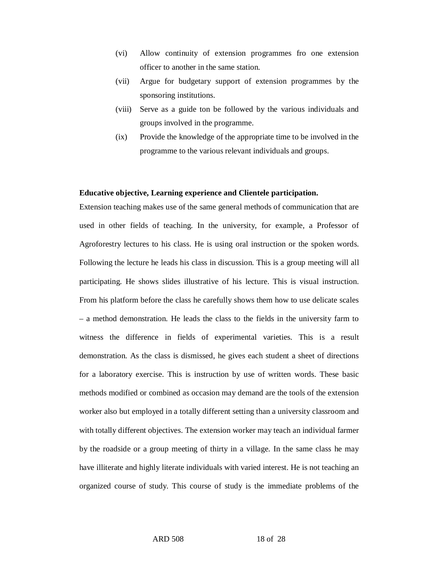- (vi) Allow continuity of extension programmes fro one extension officer to another in the same station.
- (vii) Argue for budgetary support of extension programmes by the sponsoring institutions.
- (viii) Serve as a guide ton be followed by the various individuals and groups involved in the programme.
- (ix) Provide the knowledge of the appropriate time to be involved in the programme to the various relevant individuals and groups.

### **Educative objective, Learning experience and Clientele participation.**

Extension teaching makes use of the same general methods of communication that are used in other fields of teaching. In the university, for example, a Professor of Agroforestry lectures to his class. He is using oral instruction or the spoken words. Following the lecture he leads his class in discussion. This is a group meeting will all participating. He shows slides illustrative of his lecture. This is visual instruction. From his platform before the class he carefully shows them how to use delicate scales – a method demonstration. He leads the class to the fields in the university farm to witness the difference in fields of experimental varieties. This is a result demonstration. As the class is dismissed, he gives each student a sheet of directions for a laboratory exercise. This is instruction by use of written words. These basic methods modified or combined as occasion may demand are the tools of the extension worker also but employed in a totally different setting than a university classroom and with totally different objectives. The extension worker may teach an individual farmer by the roadside or a group meeting of thirty in a village. In the same class he may have illiterate and highly literate individuals with varied interest. He is not teaching an organized course of study. This course of study is the immediate problems of the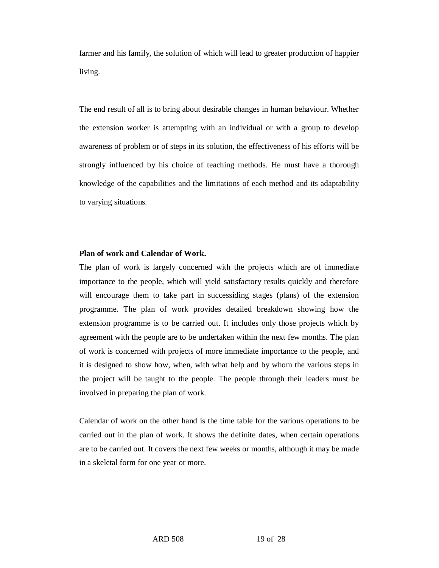farmer and his family, the solution of which will lead to greater production of happier living.

The end result of all is to bring about desirable changes in human behaviour. Whether the extension worker is attempting with an individual or with a group to develop awareness of problem or of steps in its solution, the effectiveness of his efforts will be strongly influenced by his choice of teaching methods. He must have a thorough knowledge of the capabilities and the limitations of each method and its adaptability to varying situations.

#### **Plan of work and Calendar of Work.**

The plan of work is largely concerned with the projects which are of immediate importance to the people, which will yield satisfactory results quickly and therefore will encourage them to take part in successiding stages (plans) of the extension programme. The plan of work provides detailed breakdown showing how the extension programme is to be carried out. It includes only those projects which by agreement with the people are to be undertaken within the next few months. The plan of work is concerned with projects of more immediate importance to the people, and it is designed to show how, when, with what help and by whom the various steps in the project will be taught to the people. The people through their leaders must be involved in preparing the plan of work.

Calendar of work on the other hand is the time table for the various operations to be carried out in the plan of work. It shows the definite dates, when certain operations are to be carried out. It covers the next few weeks or months, although it may be made in a skeletal form for one year or more.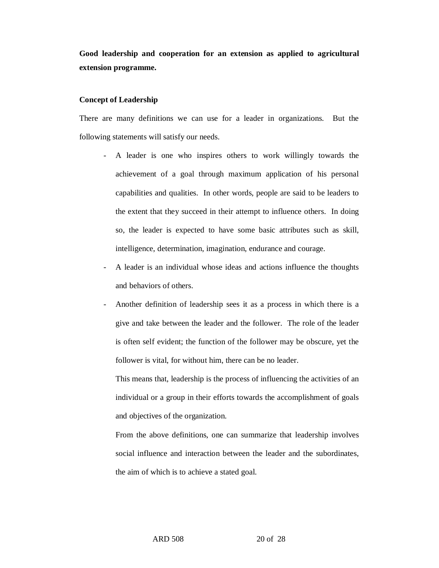**Good leadership and cooperation for an extension as applied to agricultural extension programme.**

### **Concept of Leadership**

There are many definitions we can use for a leader in organizations. But the following statements will satisfy our needs.

- A leader is one who inspires others to work willingly towards the achievement of a goal through maximum application of his personal capabilities and qualities. In other words, people are said to be leaders to the extent that they succeed in their attempt to influence others. In doing so, the leader is expected to have some basic attributes such as skill, intelligence, determination, imagination, endurance and courage.
- A leader is an individual whose ideas and actions influence the thoughts and behaviors of others.
- Another definition of leadership sees it as a process in which there is a give and take between the leader and the follower. The role of the leader is often self evident; the function of the follower may be obscure, yet the follower is vital, for without him, there can be no leader.

This means that, leadership is the process of influencing the activities of an individual or a group in their efforts towards the accomplishment of goals and objectives of the organization.

From the above definitions, one can summarize that leadership involves social influence and interaction between the leader and the subordinates, the aim of which is to achieve a stated goal.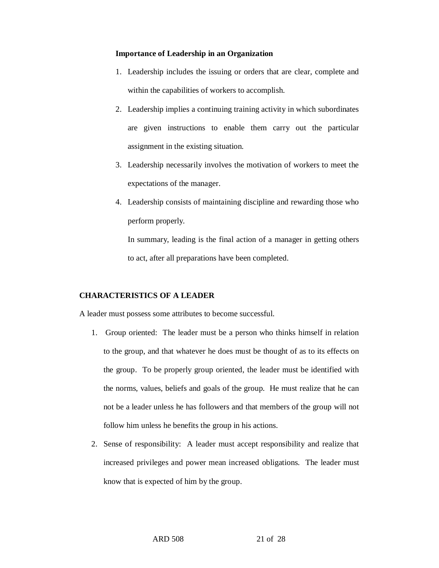### **Importance of Leadership in an Organization**

- 1. Leadership includes the issuing or orders that are clear, complete and within the capabilities of workers to accomplish.
- 2. Leadership implies a continuing training activity in which subordinates are given instructions to enable them carry out the particular assignment in the existing situation.
- 3. Leadership necessarily involves the motivation of workers to meet the expectations of the manager.
- 4. Leadership consists of maintaining discipline and rewarding those who perform properly.

In summary, leading is the final action of a manager in getting others to act, after all preparations have been completed.

# **CHARACTERISTICS OF A LEADER**

A leader must possess some attributes to become successful.

- 1. Group oriented: The leader must be a person who thinks himself in relation to the group, and that whatever he does must be thought of as to its effects on the group. To be properly group oriented, the leader must be identified with the norms, values, beliefs and goals of the group. He must realize that he can not be a leader unless he has followers and that members of the group will not follow him unless he benefits the group in his actions.
- 2. Sense of responsibility: A leader must accept responsibility and realize that increased privileges and power mean increased obligations. The leader must know that is expected of him by the group.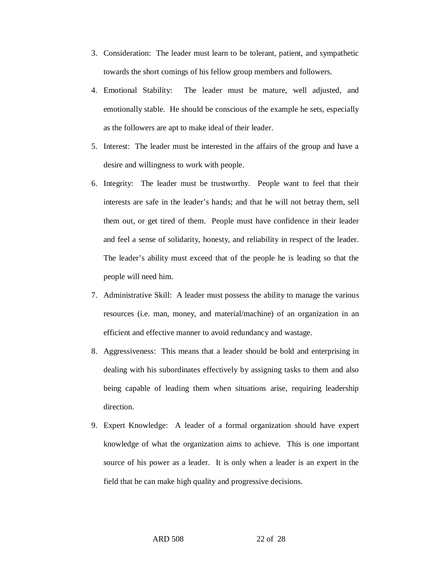- 3. Consideration: The leader must learn to be tolerant, patient, and sympathetic towards the short comings of his fellow group members and followers.
- 4. Emotional Stability: The leader must be mature, well adjusted, and emotionally stable. He should be conscious of the example he sets, especially as the followers are apt to make ideal of their leader.
- 5. Interest: The leader must be interested in the affairs of the group and have a desire and willingness to work with people.
- 6. Integrity: The leader must be trustworthy. People want to feel that their interests are safe in the leader's hands; and that he will not betray them, sell them out, or get tired of them. People must have confidence in their leader and feel a sense of solidarity, honesty, and reliability in respect of the leader. The leader's ability must exceed that of the people he is leading so that the people will need him.
- 7. Administrative Skill: A leader must possess the ability to manage the various resources (i.e. man, money, and material/machine) of an organization in an efficient and effective manner to avoid redundancy and wastage.
- 8. Aggressiveness: This means that a leader should be bold and enterprising in dealing with his subordinates effectively by assigning tasks to them and also being capable of leading them when situations arise, requiring leadership direction.
- 9. Expert Knowledge: A leader of a formal organization should have expert knowledge of what the organization aims to achieve. This is one important source of his power as a leader. It is only when a leader is an expert in the field that he can make high quality and progressive decisions.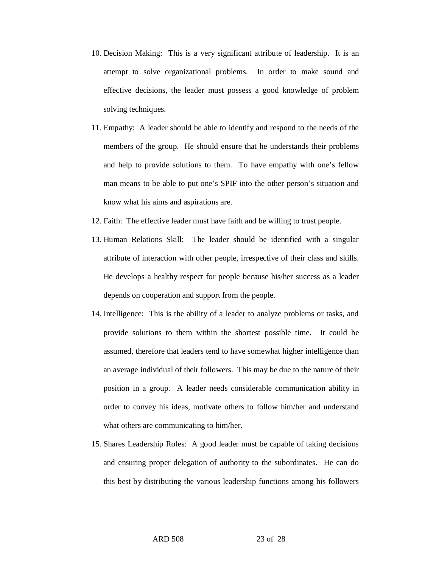- 10. Decision Making: This is a very significant attribute of leadership. It is an attempt to solve organizational problems. In order to make sound and effective decisions, the leader must possess a good knowledge of problem solving techniques.
- 11. Empathy: A leader should be able to identify and respond to the needs of the members of the group. He should ensure that he understands their problems and help to provide solutions to them. To have empathy with one's fellow man means to be able to put one's SPIF into the other person's situation and know what his aims and aspirations are.
- 12. Faith: The effective leader must have faith and be willing to trust people.
- 13. Human Relations Skill: The leader should be identified with a singular attribute of interaction with other people, irrespective of their class and skills. He develops a healthy respect for people because his/her success as a leader depends on cooperation and support from the people.
- 14. Intelligence: This is the ability of a leader to analyze problems or tasks, and provide solutions to them within the shortest possible time. It could be assumed, therefore that leaders tend to have somewhat higher intelligence than an average individual of their followers. This may be due to the nature of their position in a group. A leader needs considerable communication ability in order to convey his ideas, motivate others to follow him/her and understand what others are communicating to him/her.
- 15. Shares Leadership Roles: A good leader must be capable of taking decisions and ensuring proper delegation of authority to the subordinates. He can do this best by distributing the various leadership functions among his followers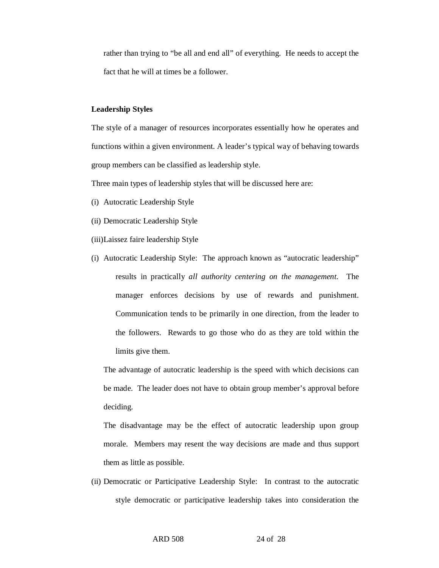rather than trying to "be all and end all" of everything. He needs to accept the fact that he will at times be a follower.

#### **Leadership Styles**

The style of a manager of resources incorporates essentially how he operates and functions within a given environment. A leader's typical way of behaving towards group members can be classified as leadership style.

Three main types of leadership styles that will be discussed here are:

- (i) Autocratic Leadership Style
- (ii) Democratic Leadership Style
- (iii)Laissez faire leadership Style
- (i) Autocratic Leadership Style: The approach known as "autocratic leadership" results in practically *all authority centering on the management.* The manager enforces decisions by use of rewards and punishment. Communication tends to be primarily in one direction, from the leader to the followers. Rewards to go those who do as they are told within the limits give them.

The advantage of autocratic leadership is the speed with which decisions can be made. The leader does not have to obtain group member's approval before deciding.

The disadvantage may be the effect of autocratic leadership upon group morale. Members may resent the way decisions are made and thus support them as little as possible.

(ii) Democratic or Participative Leadership Style: In contrast to the autocratic style democratic or participative leadership takes into consideration the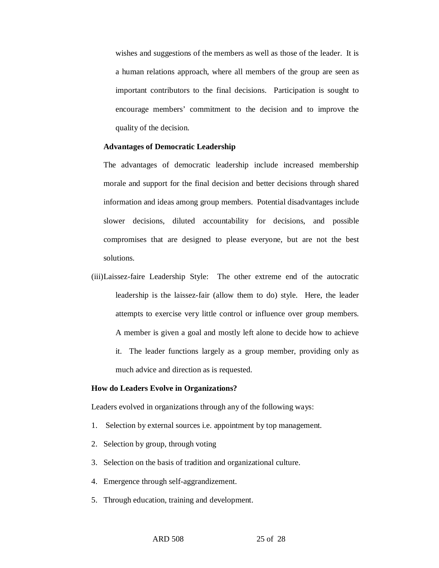wishes and suggestions of the members as well as those of the leader. It is a human relations approach, where all members of the group are seen as important contributors to the final decisions. Participation is sought to encourage members' commitment to the decision and to improve the quality of the decision.

### **Advantages of Democratic Leadership**

The advantages of democratic leadership include increased membership morale and support for the final decision and better decisions through shared information and ideas among group members. Potential disadvantages include slower decisions, diluted accountability for decisions, and possible compromises that are designed to please everyone, but are not the best solutions.

(iii)Laissez-faire Leadership Style: The other extreme end of the autocratic leadership is the laissez-fair (allow them to do) style. Here, the leader attempts to exercise very little control or influence over group members. A member is given a goal and mostly left alone to decide how to achieve it. The leader functions largely as a group member, providing only as much advice and direction as is requested.

#### **How do Leaders Evolve in Organizations?**

Leaders evolved in organizations through any of the following ways:

- 1. Selection by external sources i.e. appointment by top management.
- 2. Selection by group, through voting
- 3. Selection on the basis of tradition and organizational culture.
- 4. Emergence through self-aggrandizement.
- 5. Through education, training and development.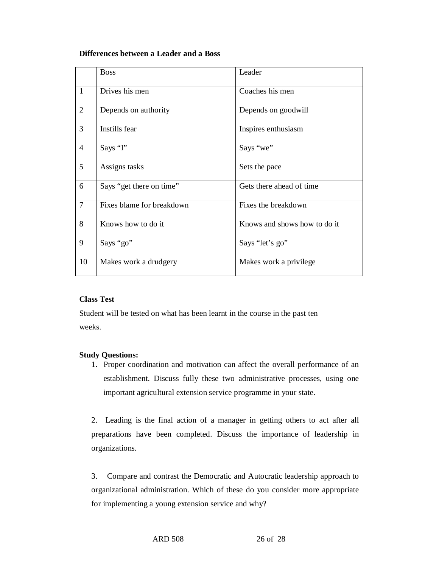## **Differences between a Leader and a Boss**

|                 | <b>Boss</b>               | Leader                       |
|-----------------|---------------------------|------------------------------|
| $\mathbf{1}$    | Drives his men            | Coaches his men              |
| 2               | Depends on authority      | Depends on goodwill          |
| $\overline{3}$  | Instills fear             | Inspires enthusiasm          |
| $\overline{4}$  | Says "I"                  | Says "we"                    |
| $5\overline{)}$ | Assigns tasks             | Sets the pace                |
| 6               | Says "get there on time"  | Gets there ahead of time     |
| $\tau$          | Fixes blame for breakdown | Fixes the breakdown          |
| 8               | Knows how to do it        | Knows and shows how to do it |
| 9               | Says "go"                 | Says "let's go"              |
| 10              | Makes work a drudgery     | Makes work a privilege       |

# **Class Test**

Student will be tested on what has been learnt in the course in the past ten weeks.

# **Study Questions:**

1. Proper coordination and motivation can affect the overall performance of an establishment. Discuss fully these two administrative processes, using one important agricultural extension service programme in your state.

2. Leading is the final action of a manager in getting others to act after all preparations have been completed. Discuss the importance of leadership in organizations.

3. Compare and contrast the Democratic and Autocratic leadership approach to organizational administration. Which of these do you consider more appropriate for implementing a young extension service and why?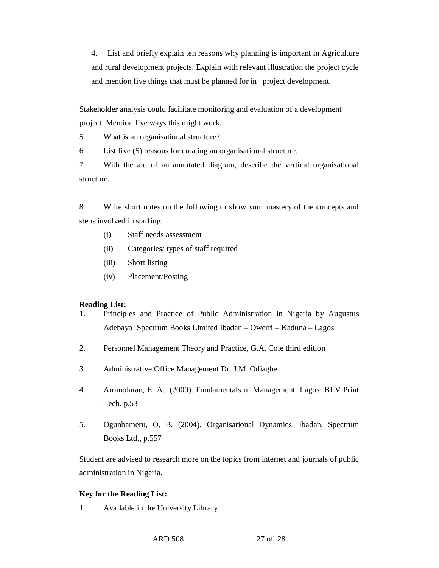4. List and briefly explain ten reasons why planning is important in Agriculture and rural development projects. Explain with relevant illustration the project cycle and mention five things that must be planned for in project development.

Stakeholder analysis could facilitate monitoring and evaluation of a development project. Mention five ways this might work.

5 What is an organisational structure?

6 List five (5) reasons for creating an organisational structure.

7 With the aid of an annotated diagram, describe the vertical organisational structure.

8 Write short notes on the following to show your mastery of the concepts and steps involved in staffing:

- (i) Staff needs assessment
- (ii) Categories/ types of staff required
- (iii) Short listing
- (iv) Placement/Posting

### **Reading List:**

- 1. Principles and Practice of Public Administration in Nigeria by Augustus Adebayo Spectrum Books Limited Ibadan – Owerri – Kaduna – Lagos
- 2. Personnel Management Theory and Practice, G.A. Cole third edition
- 3. Administrative Office Management Dr. J.M. Odiagbe
- 4. Aromolaran, E. A. (2000). Fundamentals of Management. Lagos: BLV Print Tech. p.53
- 5. Ogunbameru, O. B. (2004). Organisational Dynamics. Ibadan, Spectrum Books Ltd., p.557

Student are advised to research more on the topics from internet and journals of public administration in Nigeria.

### **Key for the Reading List:**

**1** Available in the University Library